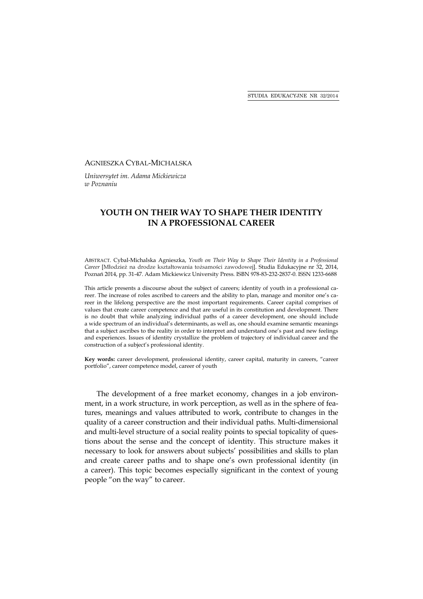## AGNIESZKA CYBAL-MICHALSKA

*Uniwersytet im. Adama Mickiewicza w Poznaniu* 

## **YOUTH ON THEIR WAY TO SHAPE THEIR IDENTITY IN A PROFESSIONAL CAREER**

ABSTRACT. Cybal-Michalska Agnieszka, *Youth on Their Way to Shape Their Identity in a Professional Career* [Młodzież na drodze kształtowania tożsamości zawodowej]. Studia Edukacyjne nr 32, 2014, Poznań 2014, pp. 31-47. Adam Mickiewicz University Press. ISBN 978-83-232-2837-0. ISSN 1233-6688

This article presents a discourse about the subject of careers; identity of youth in a professional career. The increase of roles ascribed to careers and the ability to plan, manage and monitor one's career in the lifelong perspective are the most important requirements. Career capital comprises of values that create career competence and that are useful in its constitution and development. There is no doubt that while analyzing individual paths of a career development, one should include a wide spectrum of an individual's determinants, as well as, one should examine semantic meanings that a subject ascribes to the reality in order to interpret and understand one's past and new feelings and experiences. Issues of identity crystallize the problem of trajectory of individual career and the construction of a subject's professional identity.

**Key words:** career development, professional identity, career capital, maturity in careers, "career portfolio", career competence model, career of youth

The development of a free market economy, changes in a job environment, in a work structure, in work perception, as well as in the sphere of features, meanings and values attributed to work, contribute to changes in the quality of a career construction and their individual paths. Multi-dimensional and multi-level structure of a social reality points to special topicality of questions about the sense and the concept of identity. This structure makes it necessary to look for answers about subjects' possibilities and skills to plan and create career paths and to shape one's own professional identity (in a career). This topic becomes especially significant in the context of young people "on the way" to career.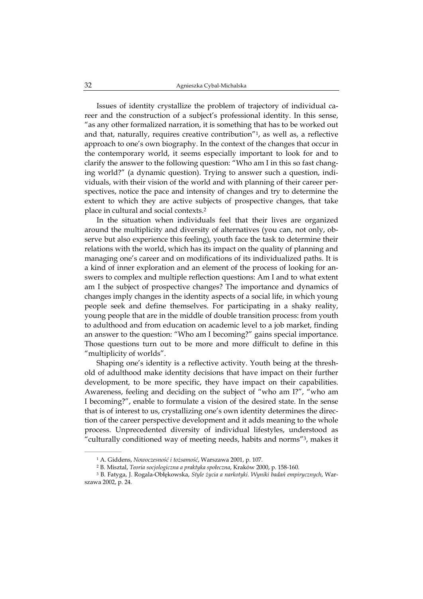Issues of identity crystallize the problem of trajectory of individual career and the construction of a subject's professional identity. In this sense, "as any other formalized narration, it is something that has to be worked out and that, naturally, requires creative contribution"1, as well as, a reflective approach to one's own biography. In the context of the changes that occur in the contemporary world, it seems especially important to look for and to clarify the answer to the following question: "Who am I in this so fast changing world?" (a dynamic question). Trying to answer such a question, individuals, with their vision of the world and with planning of their career perspectives, notice the pace and intensity of changes and try to determine the extent to which they are active subjects of prospective changes, that take place in cultural and social contexts.2

In the situation when individuals feel that their lives are organized around the multiplicity and diversity of alternatives (you can, not only, observe but also experience this feeling), youth face the task to determine their relations with the world, which has its impact on the quality of planning and managing one's career and on modifications of its individualized paths. It is a kind of inner exploration and an element of the process of looking for answers to complex and multiple reflection questions: Am I and to what extent am I the subject of prospective changes? The importance and dynamics of changes imply changes in the identity aspects of a social life, in which young people seek and define themselves. For participating in a shaky reality, young people that are in the middle of double transition process: from youth to adulthood and from education on academic level to a job market, finding an answer to the question: "Who am I becoming?" gains special importance. Those questions turn out to be more and more difficult to define in this "multiplicity of worlds".

Shaping one's identity is a reflective activity. Youth being at the threshold of adulthood make identity decisions that have impact on their further development, to be more specific, they have impact on their capabilities. Awareness, feeling and deciding on the subject of "who am I?", "who am I becoming?", enable to formulate a vision of the desired state. In the sense that is of interest to us, crystallizing one's own identity determines the direction of the career perspective development and it adds meaning to the whole process. Unprecedented diversity of individual lifestyles, understood as "culturally conditioned way of meeting needs, habits and norms"3, makes it

<sup>1</sup> A. Giddens, *Nowoczesność i tożsamość*, Warszawa 2001, p. 107.

<sup>2</sup> B. Misztal, *Teoria socjologiczna a praktyka społeczna*, Kraków 2000, p. 158-160.

<sup>3</sup> B. Fatyga, J. Rogala-Obłękowska, *Style życia a narkotyki. Wyniki badań empirycznych*, Warszawa 2002, p. 24.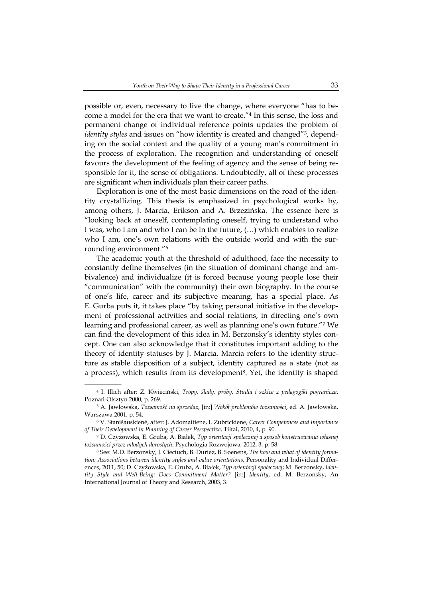possible or, even, necessary to live the change, where everyone "has to become a model for the era that we want to create."4 In this sense, the loss and permanent change of individual reference points updates the problem of *identity styles* and issues on "how identity is created and changed"5, depending on the social context and the quality of a young man's commitment in the process of exploration. The recognition and understanding of oneself favours the development of the feeling of agency and the sense of being responsible for it, the sense of obligations. Undoubtedly, all of these processes are significant when individuals plan their career paths.

Exploration is one of the most basic dimensions on the road of the identity crystallizing. This thesis is emphasized in psychological works by, among others, J. Marcia, Erikson and A. Brzezińska. The essence here is "looking back at oneself, contemplating oneself, trying to understand who I was, who I am and who I can be in the future, (…) which enables to realize who I am, one's own relations with the outside world and with the surrounding environment."6

The academic youth at the threshold of adulthood, face the necessity to constantly define themselves (in the situation of dominant change and ambivalence) and individualize (it is forced because young people lose their "communication" with the community) their own biography. In the course of one's life, career and its subjective meaning, has a special place. As E. Gurba puts it, it takes place "by taking personal initiative in the development of professional activities and social relations, in directing one's own learning and professional career, as well as planning one's own future."7 We can find the development of this idea in M. Berzonsky's identity styles concept. One can also acknowledge that it constitutes important adding to the theory of identity statuses by J. Marcia. Marcia refers to the identity structure as stable disposition of a subject, identity captured as a state (not as a process), which results from its development<sup>8</sup>. Yet, the identity is shaped

<sup>4</sup> I. Illich after: Z. Kwieciński, *Tropy, ślady, próby. Studia i szkice z pedagogiki pogranicza*, Poznań-Olsztyn 2000, p. 269.

<sup>5</sup> A. Jawłowska, *Tożsamość na sprzedaż*, [in:] *Wokół problemów tożsamości*, ed. A. Jawłowska, Warszawa 2001, p. 54.

<sup>6</sup> V. Stanišauskienė, after: J. Adomaitiene, I. Zubrickiene, *Career Competences and Importance of Their Development in Planning of Career Perspective*, Tiltai, 2010, 4, p. 90.

<sup>7</sup> D. Czyżowska, E. Gruba, A. Białek, *Typ orientacji społecznej a sposób konstruowania własnej tożsamości przez młodych dorosłych*, Psychologia Rozwojowa, 2012, 3, p. 58.

<sup>8</sup> See: M.D. Berzonsky, J. Cieciuch, B. Duriez, B. Soenens, *The how and what of identity formation: Associations between identity styles and value orientations*, Personality and Individual Differences, 2011, 50; D. Czyżowska, E. Gruba, A. Białek, *Typ orientacji społecznej*; M. Berzonsky, *Identity Style and Well-Being: Does Commitment Matter?* [in:] *Identity*, ed. M. Berzonsky, An International Journal of Theory and Research, 2003, 3.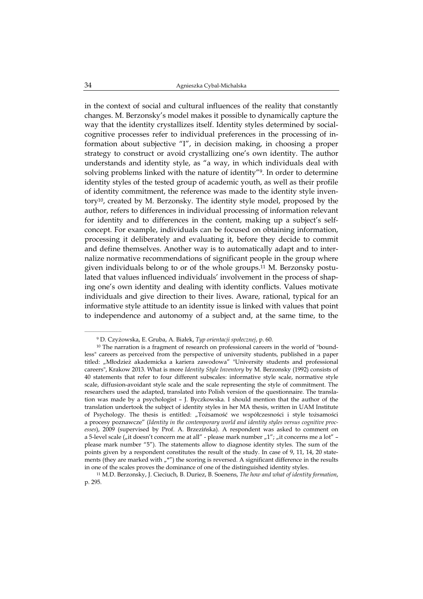in the context of social and cultural influences of the reality that constantly changes. M. Berzonsky's model makes it possible to dynamically capture the way that the identity crystallizes itself. Identity styles determined by socialcognitive processes refer to individual preferences in the processing of information about subjective "I", in decision making, in choosing a proper strategy to construct or avoid crystallizing one's own identity. The author understands and identity style, as "a way, in which individuals deal with solving problems linked with the nature of identity"9. In order to determine identity styles of the tested group of academic youth, as well as their profile of identity commitment, the reference was made to the identity style inventory10, created by M. Berzonsky. The identity style model, proposed by the author, refers to differences in individual processing of information relevant for identity and to differences in the content, making up a subject's selfconcept. For example, individuals can be focused on obtaining information, processing it deliberately and evaluating it, before they decide to commit and define themselves. Another way is to automatically adapt and to internalize normative recommendations of significant people in the group where given individuals belong to or of the whole groups.11 M. Berzonsky postulated that values influenced individuals' involvement in the process of shaping one's own identity and dealing with identity conflicts. Values motivate individuals and give direction to their lives. Aware, rational, typical for an informative style attitude to an identity issue is linked with values that point to independence and autonomy of a subject and, at the same time, to the

<sup>9</sup> D. Czyżowska, E. Gruba, A. Białek, *Typ orientacji społecznej*, p. 60.

<sup>&</sup>lt;sup>10</sup> The narration is a fragment of research on professional careers in the world of "boundless" careers as perceived from the perspective of university students, published in a paper titled: "Młodzież akademicka a kariera zawodowa" "University students and professional careers", Krakow 2013. What is more *Identity Style Inventory* by M. Berzonsky (1992) consists of 40 statements that refer to four different subscales: informative style scale, normative style scale, diffusion-avoidant style scale and the scale representing the style of commitment. The researchers used the adapted, translated into Polish version of the questionnaire. The translation was made by a psychologist – J. Byczkowska. I should mention that the author of the translation undertook the subject of identity styles in her MA thesis, written in UAM Institute of Psychology. The thesis is entitled: "Tożsamość we współczesności i style tożsamości a procesy poznawcze" (*Identity in the contemporary world and identity styles versus cognitive processes*), 2009 (supervised by Prof. A. Brzezińska). A respondent was asked to comment on a 5-level scale ( $n$ it doesn't concern me at all" - please mark number  $n1$ ";  $n$ it concerns me a lot" please mark number "5"). The statements allow to diagnose identity styles. The sum of the points given by a respondent constitutes the result of the study. In case of 9, 11, 14, 20 statements (they are marked with  $\mu^*$ ) the scoring is reversed. A significant difference in the results in one of the scales proves the dominance of one of the distinguished identity styles.

<sup>11</sup> M.D. Berzonsky, J. Cieciuch, B. Duriez, B. Soenens, *The how and what of identity formation*, p. 295.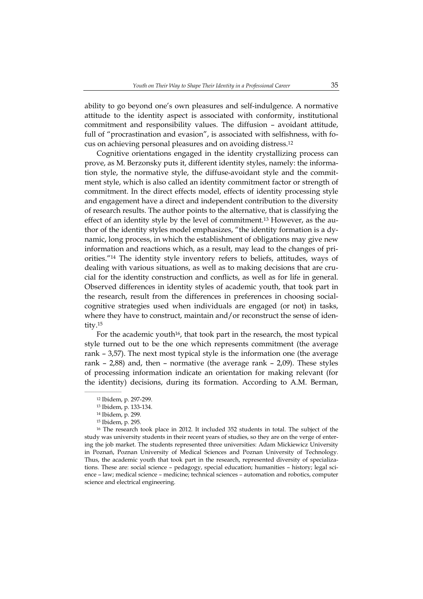ability to go beyond one's own pleasures and self-indulgence. A normative attitude to the identity aspect is associated with conformity, institutional commitment and responsibility values. The diffusion – avoidant attitude, full of "procrastination and evasion", is associated with selfishness, with focus on achieving personal pleasures and on avoiding distress.12

Cognitive orientations engaged in the identity crystallizing process can prove, as M. Berzonsky puts it, different identity styles, namely: the information style, the normative style, the diffuse-avoidant style and the commitment style, which is also called an identity commitment factor or strength of commitment. In the direct effects model, effects of identity processing style and engagement have a direct and independent contribution to the diversity of research results. The author points to the alternative, that is classifying the effect of an identity style by the level of commitment.13 However, as the author of the identity styles model emphasizes, "the identity formation is a dynamic, long process, in which the establishment of obligations may give new information and reactions which, as a result, may lead to the changes of priorities."14 The identity style inventory refers to beliefs, attitudes, ways of dealing with various situations, as well as to making decisions that are crucial for the identity construction and conflicts, as well as for life in general. Observed differences in identity styles of academic youth, that took part in the research, result from the differences in preferences in choosing socialcognitive strategies used when individuals are engaged (or not) in tasks, where they have to construct, maintain and/or reconstruct the sense of identity.15

For the academic youth<sup>16</sup>, that took part in the research, the most typical style turned out to be the one which represents commitment (the average rank – 3,57). The next most typical style is the information one (the average rank – 2,88) and, then – normative (the average rank – 2,09). These styles of processing information indicate an orientation for making relevant (for the identity) decisions, during its formation. According to A.M. Berman,

 $\mathcal{L}=\mathcal{L}=\mathcal{L}=\mathcal{L}=\mathcal{L}=\mathcal{L}$ 

16 The research took place in 2012. It included 352 students in total. The subject of the study was university students in their recent years of studies, so they are on the verge of entering the job market. The students represented three universities: Adam Mickiewicz University in Poznań, Poznan University of Medical Sciences and Poznan University of Technology. Thus, the academic youth that took part in the research, represented diversity of specializations. These are: social science – pedagogy, special education; humanities – history; legal science – law; medical science – medicine; technical sciences – automation and robotics, computer science and electrical engineering.

<sup>12</sup> Ibidem, p. 297-299.

<sup>13</sup> Ibidem, p. 133-134.

<sup>14</sup> Ibidem, p. 299.

<sup>15</sup> Ibidem, p. 295.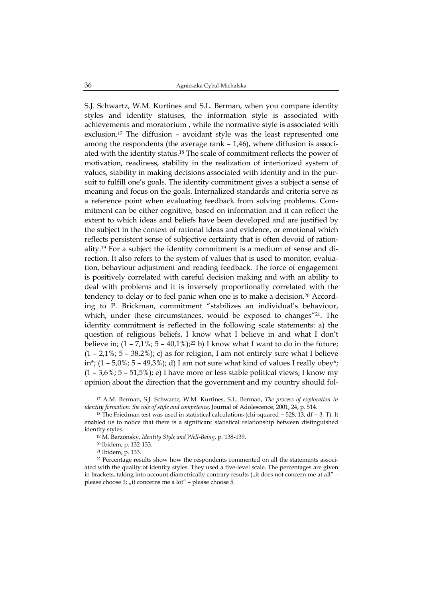S.J. Schwartz, W.M. Kurtines and S.L. Berman, when you compare identity styles and identity statuses, the information style is associated with achievements and moratorium , while the normative style is associated with exclusion.17 The diffusion – avoidant style was the least represented one among the respondents (the average rank – 1,46), where diffusion is associated with the identity status.18 The scale of commitment reflects the power of motivation, readiness, stability in the realization of interiorized system of values, stability in making decisions associated with identity and in the pursuit to fulfill one's goals. The identity commitment gives a subject a sense of meaning and focus on the goals. Internalized standards and criteria serve as a reference point when evaluating feedback from solving problems. Commitment can be either cognitive, based on information and it can reflect the extent to which ideas and beliefs have been developed and are justified by the subject in the context of rational ideas and evidence, or emotional which reflects persistent sense of subjective certainty that is often devoid of rationality.19 For a subject the identity commitment is a medium of sense and direction. It also refers to the system of values that is used to monitor, evaluation, behaviour adjustment and reading feedback. The force of engagement is positively correlated with careful decision making and with an ability to deal with problems and it is inversely proportionally correlated with the tendency to delay or to feel panic when one is to make a decision.20 According to P. Brickman, commitment "stabilizes an individual's behaviour, which, under these circumstances, would be exposed to changes<sup>"21</sup>. The identity commitment is reflected in the following scale statements: a) the question of religious beliefs, I know what I believe in and what I don't believe in;  $(1 - 7.1\%; 5 - 40.1\%)$ : 22 b) I know what I want to do in the future;  $(1 - 2.1\% \cdot 5 - 38.2\%)$ ; c) as for religion, I am not entirely sure what I believe in\*;  $(1 - 5.0\%$ ;  $5 - 49.3\%)$ ; d) I am not sure what kind of values I really obey\*;  $(1 - 3.6\% \cdot 5 - 51.5\%)$ ; e) I have more or less stable political views; I know my opinion about the direction that the government and my country should fol-

<sup>17</sup> A.M. Berman, S.J. Schwartz, W.M. Kurtines, S.L. Berman, *The process of exploration in identity formation: the role of style and competence*, Journal of Adolescence, 2001, 24, p. 514.

<sup>&</sup>lt;sup>18</sup> The Friedman test was used in statistical calculations (chi-squared =  $528$ , 13, df = 3, T). It enabled us to notice that there is a significant statistical relationship between distinguished identity styles.

<sup>19</sup> M. Berzonsky, *Identity Style and Well-Being*, p. 138-139.

<sup>20</sup> Ibidem, p. 132-133.

<sup>21</sup> Ibidem, p. 133.

<sup>22</sup> Percentage results show how the respondents commented on all the statements associated with the quality of identity styles. They used a five-level scale. The percentages are given in brackets, taking into account diametrically contrary results  $\int_{a}$  it does not concern me at all" please choose 1; "it concerns me a lot" - please choose 5.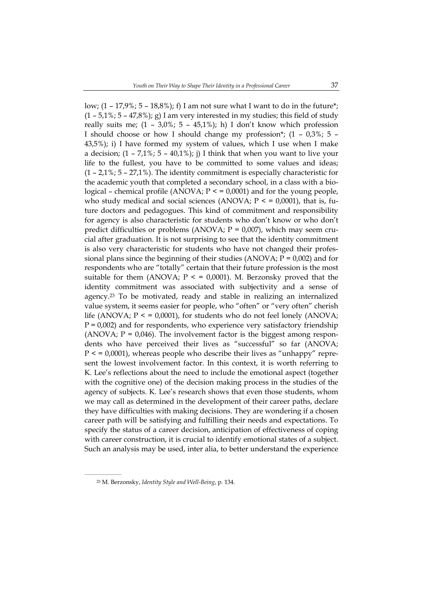low;  $(1 - 17.9\%; 5 - 18.8\%)$ ; f) I am not sure what I want to do in the future\*;  $(1 - 5.1\%; 5 - 47.8\%);$  g) I am very interested in my studies; this field of study really suits me;  $(1 - 3.0\%; 5 - 45.1\%);$  h) I don't know which profession I should choose or how I should change my profession\*;  $(1 - 0.3\%)$ ; 5 – 43,5%); i) I have formed my system of values, which I use when I make a decision;  $(1 - 7.1\%; 5 - 40.1\%);$  i) I think that when you want to live your life to the fullest, you have to be committed to some values and ideas;  $(1 - 2.1\% \cdot 5 - 27.1\%)$ . The identity commitment is especially characteristic for the academic youth that completed a secondary school, in a class with a biological – chemical profile (ANOVA;  $P \le 0.0001$ ) and for the young people, who study medical and social sciences (ANOVA;  $P \le 0.0001$ ), that is, future doctors and pedagogues. This kind of commitment and responsibility for agency is also characteristic for students who don't know or who don't predict difficulties or problems (ANOVA;  $P = 0.007$ ), which may seem crucial after graduation. It is not surprising to see that the identity commitment is also very characteristic for students who have not changed their professional plans since the beginning of their studies (ANOVA;  $P = 0.002$ ) and for respondents who are "totally" certain that their future profession is the most suitable for them (ANOVA;  $P \le 0.0001$ ). M. Berzonsky proved that the identity commitment was associated with subjectivity and a sense of agency.23 To be motivated, ready and stable in realizing an internalized value system, it seems easier for people, who "often" or "very often" cherish life (ANOVA;  $P \le 0.0001$ ), for students who do not feel lonely (ANOVA;  $P = 0.002$ ) and for respondents, who experience very satisfactory friendship (ANOVA;  $P = 0.046$ ). The involvement factor is the biggest among respondents who have perceived their lives as "successful" so far (ANOVA;  $P \leq 0.0001$ , whereas people who describe their lives as "unhappy" represent the lowest involvement factor. In this context, it is worth referring to K. Lee's reflections about the need to include the emotional aspect (together with the cognitive one) of the decision making process in the studies of the agency of subjects. K. Lee's research shows that even those students, whom we may call as determined in the development of their career paths, declare they have difficulties with making decisions. They are wondering if a chosen career path will be satisfying and fulfilling their needs and expectations. To specify the status of a career decision, anticipation of effectiveness of coping with career construction, it is crucial to identify emotional states of a subject. Such an analysis may be used, inter alia, to better understand the experience

<sup>23</sup> M. Berzonsky, *Identity Style and Well-Being*, p. 134.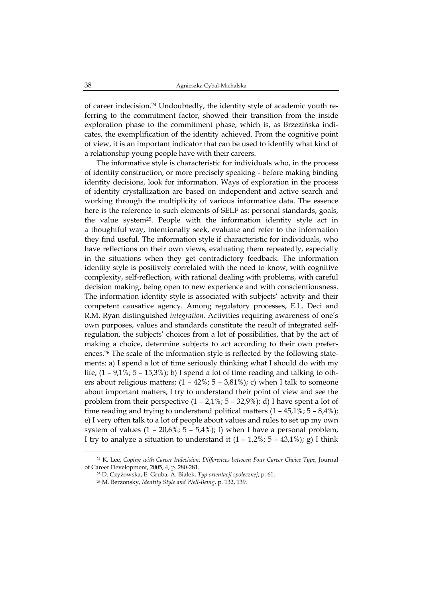of career indecision.24 Undoubtedly, the identity style of academic youth referring to the commitment factor, showed their transition from the inside exploration phase to the commitment phase, which is, as Brzezińska indicates, the exemplification of the identity achieved. From the cognitive point of view, it is an important indicator that can be used to identify what kind of a relationship young people have with their careers.

The informative style is characteristic for individuals who, in the process of identity construction, or more precisely speaking - before making binding identity decisions, look for information. Ways of exploration in the process of identity crystallization are based on independent and active search and working through the multiplicity of various informative data. The essence here is the reference to such elements of SELF as: personal standards, goals, the value system25. People with the information identity style act in a thoughtful way, intentionally seek, evaluate and refer to the information they find useful. The information style if characteristic for individuals, who have reflections on their own views, evaluating them repeatedly, especially in the situations when they get contradictory feedback. The information identity style is positively correlated with the need to know, with cognitive complexity, self-reflection, with rational dealing with problems, with careful decision making, being open to new experience and with conscientiousness. The information identity style is associated with subjects' activity and their competent causative agency. Among regulatory processes, E.L. Deci and R.M. Ryan distinguished *integration.* Activities requiring awareness of one's own purposes, values and standards constitute the result of integrated selfregulation, the subjects' choices from a lot of possibilities, that by the act of making a choice, determine subjects to act according to their own preferences.26 The scale of the information style is reflected by the following statements: a) I spend a lot of time seriously thinking what I should do with my life;  $(1 - 9.1\%; 5 - 15.3\%)$ ; b) I spend a lot of time reading and talking to others about religious matters;  $(1 - 42\%)$ ;  $5 - 3.81\%)$ ; c) when I talk to someone about important matters, I try to understand their point of view and see the problem from their perspective (1 – 2,1%; 5 – 32,9%); d) I have spent a lot of time reading and trying to understand political matters  $(1 - 45.1\% \cdot 5 - 8.4\%)$ ; e) I very often talk to a lot of people about values and rules to set up my own system of values  $(1 - 20.6\%; 5 - 5.4\%);$  f) when I have a personal problem, I try to analyze a situation to understand it  $(1 - 1.2\%; 5 - 43.1\%)$ ; g) I think

<sup>24</sup> K. Lee, *Coping with Career Indecision: Differences between Four Career Choice Type*, Journal of Career Development, 2005, 4, p. 280-281.

<sup>25</sup> D. Czyżowska, E. Gruba, A. Białek, *Typ orientacji społecznej*, p. 61.

<sup>26</sup> M. Berzonsky, *Identity Style and Well-Being*, p. 132, 139.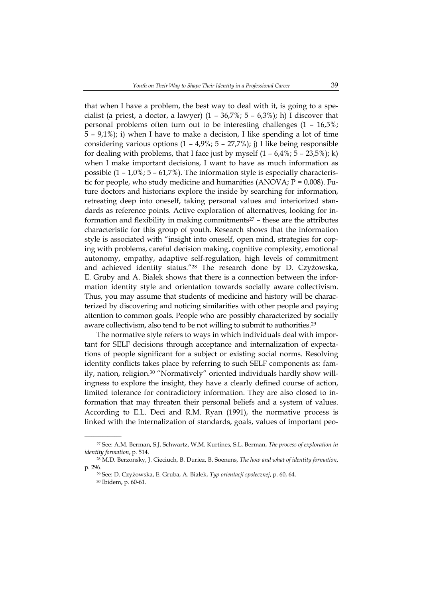that when I have a problem, the best way to deal with it, is going to a specialist (a priest, a doctor, a lawyer)  $(1 - 36.7\%)$ ; 5 – 6.3%); h) I discover that personal problems often turn out to be interesting challenges (1 – 16,5%; 5 – 9,1%); i) when I have to make a decision, I like spending a lot of time considering various options  $(1 - 4.9\%; 5 - 27.7\%)$ ; j) I like being responsible for dealing with problems, that I face just by myself  $(1 - 6.4\%; 5 - 23.5\%); k)$ when I make important decisions, I want to have as much information as possible  $(1 - 1.0\%; 5 - 61.7\%)$ . The information style is especially characteristic for people, who study medicine and humanities  $(ANOVA; P = 0.008)$ . Future doctors and historians explore the inside by searching for information, retreating deep into oneself, taking personal values and interiorized standards as reference points. Active exploration of alternatives, looking for information and flexibility in making commitments $27$  – these are the attributes characteristic for this group of youth. Research shows that the information style is associated with "insight into oneself, open mind, strategies for coping with problems, careful decision making, cognitive complexity, emotional autonomy, empathy, adaptive self-regulation, high levels of commitment and achieved identity status."28 The research done by D. Czyżowska, E. Gruby and A. Białek shows that there is a connection between the information identity style and orientation towards socially aware collectivism. Thus, you may assume that students of medicine and history will be characterized by discovering and noticing similarities with other people and paying attention to common goals. People who are possibly characterized by socially aware collectivism, also tend to be not willing to submit to authorities.29

The normative style refers to ways in which individuals deal with important for SELF decisions through acceptance and internalization of expectations of people significant for a subject or existing social norms. Resolving identity conflicts takes place by referring to such SELF components as: family, nation, religion.<sup>30</sup> "Normatively" oriented individuals hardly show willingness to explore the insight, they have a clearly defined course of action, limited tolerance for contradictory information. They are also closed to information that may threaten their personal beliefs and a system of values. According to E.L. Deci and R.M. Ryan (1991), the normative process is linked with the internalization of standards, goals, values of important peo-

<sup>27</sup> See: A.M. Berman, S.J. Schwartz, W.M. Kurtines, S.L. Berman, *The process of exploration in identity formation*, p. 514.

<sup>28</sup> M.D. Berzonsky, J. Cieciuch, B. Duriez, B. Soenens, *The how and what of identity formation*, p. 296.

<sup>29</sup> See: D. Czyżowska, E. Gruba, A. Białek, *Typ orientacji społecznej*, p. 60, 64.

<sup>30</sup> Ibidem, p. 60-61.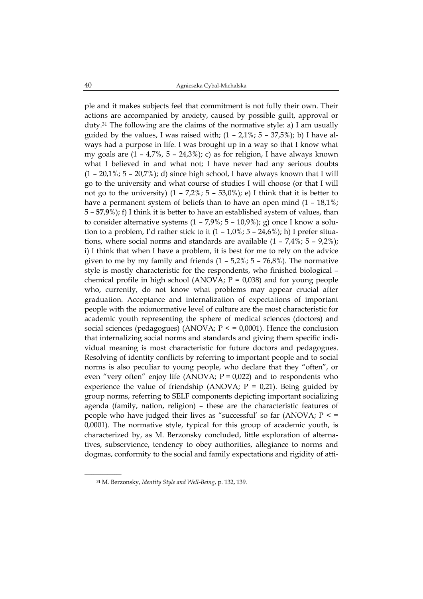ple and it makes subjects feel that commitment is not fully their own. Their actions are accompanied by anxiety, caused by possible guilt, approval or duty.31 The following are the claims of the normative style: a) I am usually guided by the values, I was raised with;  $(1 - 2.1\%; 5 - 37.5\%);$  b) I have always had a purpose in life. I was brought up in a way so that I know what my goals are  $(1 - 4.7\%$ ,  $5 - 24.3\%)$ ; c) as for religion, I have always known what I believed in and what not; I have never had any serious doubts  $(1 - 20.1\%; 5 - 20.7\%)$ ; d) since high school, I have always known that I will go to the university and what course of studies I will choose (or that I will not go to the university)  $(1 - 7.2\%; 5 - 53.0\%)$ ; e) I think that it is better to have a permanent system of beliefs than to have an open mind  $(1 - 18.1\%)$ ; 5 – **57**,**9**%); f) I think it is better to have an established system of values, than to consider alternative systems  $(1 - 7.9\% \cdot 5 - 10.9\%)$ ; g) once I know a solution to a problem, I'd rather stick to it  $(1 - 1.0\%; 5 - 24.6\%);$  h) I prefer situations, where social norms and standards are available  $(1 - 7.4\% \div 5 - 9.2\%)$ ; i) I think that when I have a problem, it is best for me to rely on the advice given to me by my family and friends  $(1 - 5.2\% \cdot 5 - 76.8\%)$ . The normative style is mostly characteristic for the respondents, who finished biological – chemical profile in high school (ANOVA;  $P = 0.038$ ) and for young people who, currently, do not know what problems may appear crucial after graduation. Acceptance and internalization of expectations of important people with the axionormative level of culture are the most characteristic for academic youth representing the sphere of medical sciences (doctors) and social sciences (pedagogues) (ANOVA;  $P \le 0.0001$ ). Hence the conclusion that internalizing social norms and standards and giving them specific individual meaning is most characteristic for future doctors and pedagogues. Resolving of identity conflicts by referring to important people and to social norms is also peculiar to young people, who declare that they "often", or even "very often" enjoy life (ANOVA;  $P = 0.022$ ) and to respondents who experience the value of friendship (ANOVA;  $P = 0.21$ ). Being guided by group norms, referring to SELF components depicting important socializing agenda (family, nation, religion) – these are the characteristic features of people who have judged their lives as "successful' so far (ANOVA;  $P \leq P$ 0,0001). The normative style, typical for this group of academic youth, is characterized by, as M. Berzonsky concluded, little exploration of alternatives, subservience, tendency to obey authorities, allegiance to norms and dogmas, conformity to the social and family expectations and rigidity of atti-

<sup>31</sup> M. Berzonsky, *Identity Style and Well-Being*, p. 132, 139.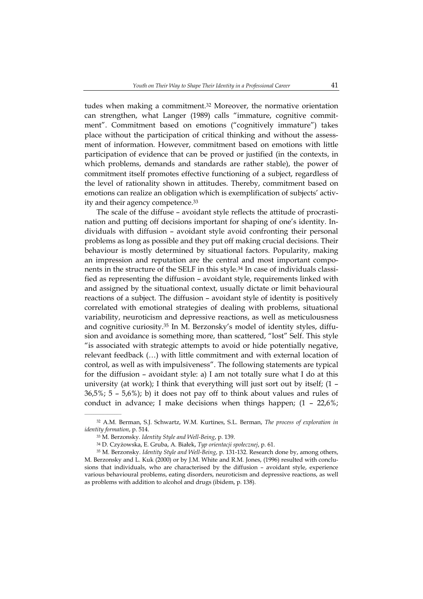tudes when making a commitment.32 Moreover, the normative orientation can strengthen, what Langer (1989) calls "immature, cognitive commitment". Commitment based on emotions ("cognitively immature") takes place without the participation of critical thinking and without the assessment of information. However, commitment based on emotions with little participation of evidence that can be proved or justified (in the contexts, in which problems, demands and standards are rather stable), the power of commitment itself promotes effective functioning of a subject, regardless of the level of rationality shown in attitudes. Thereby, commitment based on emotions can realize an obligation which is exemplification of subjects' activity and their agency competence.33

The scale of the diffuse – avoidant style reflects the attitude of procrastination and putting off decisions important for shaping of one's identity. Individuals with diffusion – avoidant style avoid confronting their personal problems as long as possible and they put off making crucial decisions. Their behaviour is mostly determined by situational factors. Popularity, making an impression and reputation are the central and most important components in the structure of the SELF in this style.34 In case of individuals classified as representing the diffusion – avoidant style, requirements linked with and assigned by the situational context, usually dictate or limit behavioural reactions of a subject. The diffusion – avoidant style of identity is positively correlated with emotional strategies of dealing with problems, situational variability, neuroticism and depressive reactions, as well as meticulousness and cognitive curiosity.35 In M. Berzonsky's model of identity styles, diffusion and avoidance is something more, than scattered, "lost" Self. This style "is associated with strategic attempts to avoid or hide potentially negative, relevant feedback (…) with little commitment and with external location of control, as well as with impulsiveness". The following statements are typical for the diffusion – avoidant style: a) I am not totally sure what I do at this university (at work); I think that everything will just sort out by itself; (1 –  $36,5\%$ ; 5 – 5,6%); b) it does not pay off to think about values and rules of conduct in advance; I make decisions when things happen;  $(1 - 22.6\%)$ ;

<sup>32</sup> A.M. Berman, S.J. Schwartz, W.M. Kurtines, S.L. Berman, *The process of exploration in identity formation*, p. 514.

<sup>33</sup> M. Berzonsky. *Identity Style and Well-Being*, p. 139.

<sup>34</sup> D. Czyżowska, E. Gruba, A. Białek, *Typ orientacji społecznej*, p. 61.

<sup>35</sup> M. Berzonsky. *Identity Style and Well-Being*, p. 131-132. Research done by, among others, M. Berzonsky and L. Kuk (2000) or by J.M. White and R.M. Jones, (1996) resulted with conclusions that individuals, who are characterised by the diffusion – avoidant style, experience various behavioural problems, eating disorders, neuroticism and depressive reactions, as well as problems with addition to alcohol and drugs (ibidem, p. 138).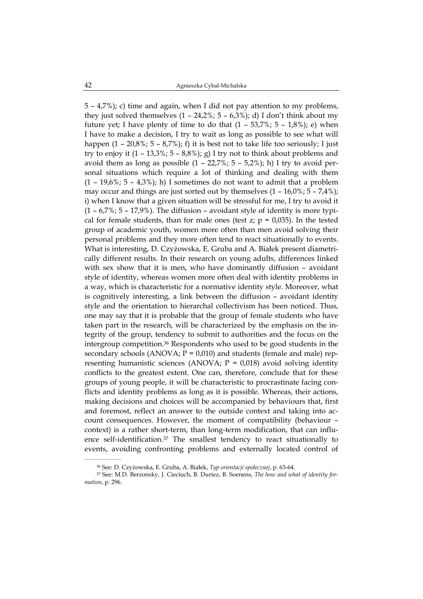5 – 4,7%); c) time and again, when I did not pay attention to my problems, they just solved themselves  $(1 - 24.2\%; 5 - 6.3\%)$ ; d) I don't think about my future yet; I have plenty of time to do that  $(1 - 53.7\%)$ ; 5 – 1,8%); e) when I have to make a decision, I try to wait as long as possible to see what will happen  $(1 - 20.8\%; 5 - 8.7\%)$ ; f) it is best not to take life too seriously; I just try to enjoy it  $(1 - 13.3\%; 5 - 8.8\%)$ ; g) I try not to think about problems and avoid them as long as possible  $(1 - 22.7\%)$ ; 5 – 5,2%); h) I try to avoid personal situations which require a lot of thinking and dealing with them  $(1 - 19.6\%; 5 - 4.3\%);$  h) I sometimes do not want to admit that a problem may occur and things are just sorted out by themselves  $(1 - 16.0\%; 5 - 7.4\%);$ i) when I know that a given situation will be stressful for me, I try to avoid it  $(1 - 6.7\%)$ ; 5 – 17,9%). The diffusion – avoidant style of identity is more typical for female students, than for male ones (test  $z$ ;  $p = 0.035$ ). In the tested group of academic youth, women more often than men avoid solving their personal problems and they more often tend to react situationally to events. What is interesting, D. Czyżowska, E. Gruba and A. Białek present diametrically different results. In their research on young adults, differences linked with sex show that it is men, who have dominantly diffusion – avoidant style of identity, whereas women more often deal with identity problems in a way, which is characteristic for a normative identity style. Moreover, what is cognitively interesting, a link between the diffusion – avoidant identity style and the orientation to hierarchal collectivism has been noticed. Thus, one may say that it is probable that the group of female students who have taken part in the research, will be characterized by the emphasis on the integrity of the group, tendency to submit to authorities and the focus on the intergroup competition.36 Respondents who used to be good students in the secondary schools (ANOVA;  $P = 0.010$ ) and students (female and male) representing humanistic sciences (ANOVA;  $P = 0.018$ ) avoid solving identity conflicts to the greatest extent. One can, therefore, conclude that for these groups of young people, it will be characteristic to procrastinate facing conflicts and identity problems as long as it is possible. Whereas, their actions, making decisions and choices will be accompanied by behaviours that, first and foremost, reflect an answer to the outside context and taking into account consequences. However, the moment of compatibility (behaviour – context) is a rather short-term, than long-term modification, that can influence self-identification.<sup>37</sup> The smallest tendency to react situationally to events, avoiding confronting problems and externally located control of

 $\mathcal{L}=\mathcal{L}^{\mathcal{L}}$ 

<sup>36</sup> See: D. Czyżowska, E. Gruba, A. Białek, *Typ orientacji społecznej*, p. 63-64.

<sup>37</sup> See: M.D. Berzonsky, J. Cieciuch, B. Duriez, B. Soenens, *The how and what of identity formation*, p. 296.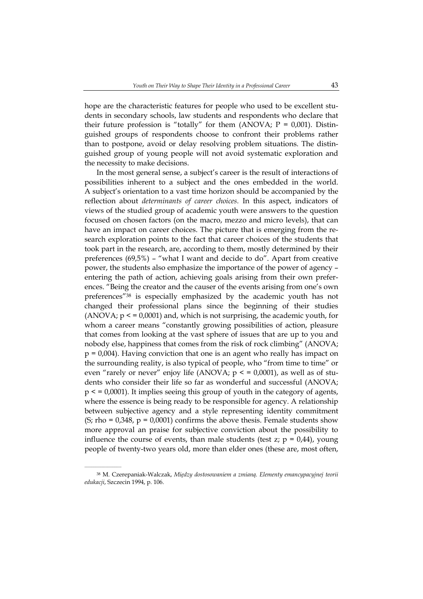hope are the characteristic features for people who used to be excellent students in secondary schools, law students and respondents who declare that their future profession is "totally" for them (ANOVA;  $P = 0,001$ ). Distinguished groups of respondents choose to confront their problems rather than to postpone, avoid or delay resolving problem situations. The distinguished group of young people will not avoid systematic exploration and the necessity to make decisions.

In the most general sense, a subject's career is the result of interactions of possibilities inherent to a subject and the ones embedded in the world. A subject's orientation to a vast time horizon should be accompanied by the reflection about *determinants of career choices.* In this aspect, indicators of views of the studied group of academic youth were answers to the question focused on chosen factors (on the macro, mezzo and micro levels), that can have an impact on career choices. The picture that is emerging from the research exploration points to the fact that career choices of the students that took part in the research, are, according to them, mostly determined by their preferences (69,5%) – "what I want and decide to do". Apart from creative power, the students also emphasize the importance of the power of agency – entering the path of action, achieving goals arising from their own preferences. "Being the creator and the causer of the events arising from one's own preferences"38 is especially emphasized by the academic youth has not changed their professional plans since the beginning of their studies (ANOVA;  $p \le 0.0001$ ) and, which is not surprising, the academic youth, for whom a career means "constantly growing possibilities of action, pleasure that comes from looking at the vast sphere of issues that are up to you and nobody else, happiness that comes from the risk of rock climbing" (ANOVA;  $p = 0.004$ ). Having conviction that one is an agent who really has impact on the surrounding reality, is also typical of people, who "from time to time" or even "rarely or never" enjoy life (ANOVA;  $p \le 0.0001$ ), as well as of students who consider their life so far as wonderful and successful (ANOVA;  $p \leq 0.0001$ . It implies seeing this group of youth in the category of agents, where the essence is being ready to be responsible for agency. A relationship between subjective agency and a style representing identity commitment (S; rho =  $0.348$ , p =  $0.0001$ ) confirms the above thesis. Female students show more approval an praise for subjective conviction about the possibility to influence the course of events, than male students (test  $z$ ;  $p = 0.44$ ), young people of twenty-two years old, more than elder ones (these are, most often,

<sup>38</sup> M. Czerepaniak-Walczak, *Między dostosowaniem a zmianą. Elementy emancypacyjnej teorii edukacji*, Szczecin 1994, p. 106.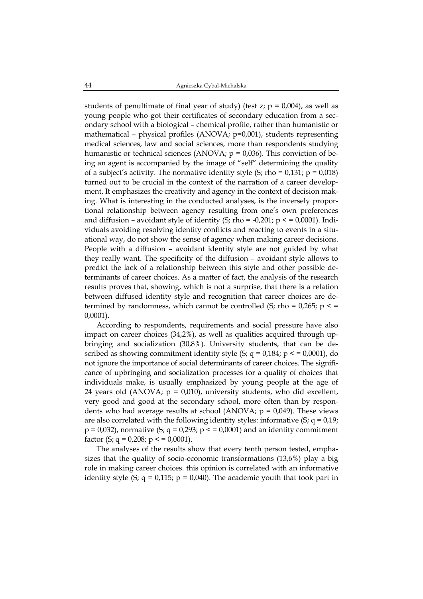students of penultimate of final year of study) (test  $z$ ;  $p = 0.004$ ), as well as young people who got their certificates of secondary education from a secondary school with a biological – chemical profile, rather than humanistic or mathematical – physical profiles (ANOVA;  $p=0,001$ ), students representing medical sciences, law and social sciences, more than respondents studying humanistic or technical sciences (ANOVA;  $p = 0.036$ ). This conviction of being an agent is accompanied by the image of "self" determining the quality of a subject's activity. The normative identity style  $(S;$  rho = 0,131;  $p = 0.018$ ) turned out to be crucial in the context of the narration of a career development. It emphasizes the creativity and agency in the context of decision making. What is interesting in the conducted analyses, is the inversely proportional relationship between agency resulting from one's own preferences and diffusion – avoidant style of identity  $(S; rho = -0.201; p \le 0.0001)$ . Individuals avoiding resolving identity conflicts and reacting to events in a situational way, do not show the sense of agency when making career decisions. People with a diffusion – avoidant identity style are not guided by what they really want. The specificity of the diffusion – avoidant style allows to predict the lack of a relationship between this style and other possible determinants of career choices. As a matter of fact, the analysis of the research results proves that, showing, which is not a surprise, that there is a relation between diffused identity style and recognition that career choices are determined by randomness, which cannot be controlled (S; rho =  $0.265$ ; p < = 0,0001).

According to respondents, requirements and social pressure have also impact on career choices (34,2%), as well as qualities acquired through upbringing and socialization (30,8%). University students, that can be described as showing commitment identity style (S;  $q = 0.184$ ;  $p \leq 0.0001$ ), do not ignore the importance of social determinants of career choices. The significance of upbringing and socialization processes for a quality of choices that individuals make, is usually emphasized by young people at the age of 24 years old (ANOVA;  $p = 0.010$ ), university students, who did excellent, very good and good at the secondary school, more often than by respondents who had average results at school (ANOVA;  $p = 0.049$ ). These views are also correlated with the following identity styles: informative  $(S; q = 0.19;$  $p = 0.032$ ), normative (S;  $q = 0.293$ ;  $p < 0.0001$ ) and an identity commitment factor (S;  $q = 0.208$ ;  $p \leq 0.0001$ ).

The analyses of the results show that every tenth person tested, emphasizes that the quality of socio-economic transformations (13,6%) play a big role in making career choices. this opinion is correlated with an informative identity style (S;  $q = 0.115$ ;  $p = 0.040$ ). The academic youth that took part in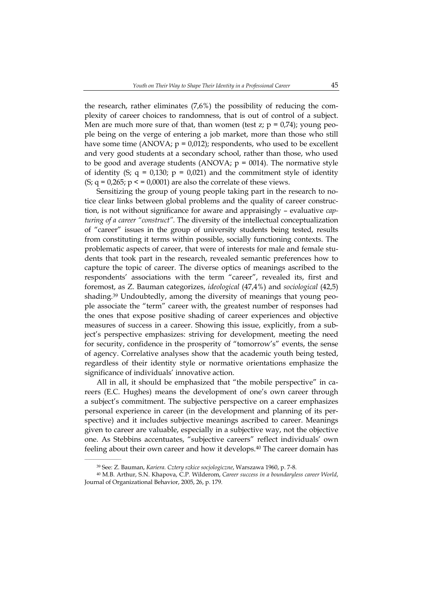the research, rather eliminates (7,6%) the possibility of reducing the complexity of career choices to randomness, that is out of control of a subject. Men are much more sure of that, than women (test  $z$ ;  $p = 0.74$ ); young people being on the verge of entering a job market, more than those who still have some time (ANOVA;  $p = 0.012$ ); respondents, who used to be excellent and very good students at a secondary school, rather than those, who used to be good and average students (ANOVA;  $p = 0014$ ). The normative style of identity (S;  $q = 0.130$ ;  $p = 0.021$ ) and the commitment style of identity  $(S; q = 0.265; p \le 0.0001)$  are also the correlate of these views.

Sensitizing the group of young people taking part in the research to notice clear links between global problems and the quality of career construction, is not without significance for aware and appraisingly – evaluative *capturing of a career "construct".* The diversity of the intellectual conceptualization of "career" issues in the group of university students being tested, results from constituting it terms within possible, socially functioning contexts. The problematic aspects of career, that were of interests for male and female students that took part in the research, revealed semantic preferences how to capture the topic of career. The diverse optics of meanings ascribed to the respondents' associations with the term "career", revealed its, first and foremost, as Z. Bauman categorizes, *ideological* (47,4%) and *sociological* (42,5) shading.39 Undoubtedly, among the diversity of meanings that young people associate the "term" career with, the greatest number of responses had the ones that expose positive shading of career experiences and objective measures of success in a career. Showing this issue, explicitly, from a subject's perspective emphasizes: striving for development, meeting the need for security, confidence in the prosperity of "tomorrow's" events, the sense of agency. Correlative analyses show that the academic youth being tested, regardless of their identity style or normative orientations emphasize the significance of individuals' innovative action.

All in all, it should be emphasized that "the mobile perspective" in careers (E.C. Hughes) means the development of one's own career through a subject's commitment. The subjective perspective on a career emphasizes personal experience in career (in the development and planning of its perspective) and it includes subjective meanings ascribed to career. Meanings given to career are valuable, especially in a subjective way, not the objective one. As Stebbins accentuates, "subjective careers" reflect individuals' own feeling about their own career and how it develops.<sup>40</sup> The career domain has

 $\mathcal{L}=\mathcal{L}^{\mathcal{L}}$ 

<sup>39</sup> See: Z. Bauman, *Kariera. Cztery szkice socjologiczne*, Warszawa 1960, p. 7-8.

<sup>40</sup> M.B. Arthur, S.N. Khapova, C.P. Wilderom, *Career success in a boundaryless career World*, Journal of Organizational Behavior, 2005, 26, p. 179.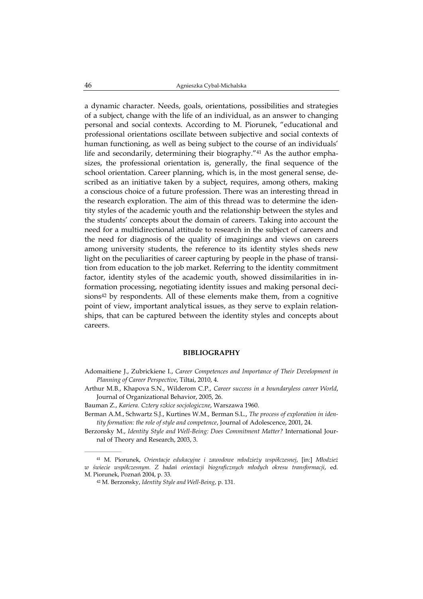a dynamic character. Needs, goals, orientations, possibilities and strategies of a subject, change with the life of an individual, as an answer to changing personal and social contexts. According to M. Piorunek, "educational and professional orientations oscillate between subjective and social contexts of human functioning, as well as being subject to the course of an individuals' life and secondarily, determining their biography."41 As the author emphasizes, the professional orientation is, generally, the final sequence of the school orientation. Career planning, which is, in the most general sense, described as an initiative taken by a subject, requires, among others, making a conscious choice of a future profession. There was an interesting thread in the research exploration. The aim of this thread was to determine the identity styles of the academic youth and the relationship between the styles and the students' concepts about the domain of careers. Taking into account the need for a multidirectional attitude to research in the subject of careers and the need for diagnosis of the quality of imaginings and views on careers among university students, the reference to its identity styles sheds new light on the peculiarities of career capturing by people in the phase of transition from education to the job market. Referring to the identity commitment factor, identity styles of the academic youth, showed dissimilarities in information processing, negotiating identity issues and making personal decisions $42$  by respondents. All of these elements make them, from a cognitive point of view, important analytical issues, as they serve to explain relationships, that can be captured between the identity styles and concepts about careers.

## **BIBLIOGRAPHY**

- Adomaitiene J., Zubrickiene I., *Career Competences and Importance of Their Development in Planning of Career Perspective*, Tiltai, 2010, 4.
- Arthur M.B., Khapova S.N., Wilderom C.P., *Career success in a boundaryless career World*, Journal of Organizational Behavior, 2005, 26.
- Bauman Z., *Kariera. Cztery szkice socjologiczne*, Warszawa 1960.
- Berman A.M., Schwartz S.J., Kurtines W.M., Berman S.L., *The process of exploration in identity formation: the role of style and competence*, Journal of Adolescence, 2001, 24.
- Berzonsky M., *Identity Style and Well-Being: Does Commitment Matter?* International Journal of Theory and Research, 2003, 3.

<sup>41</sup> M. Piorunek, *Orientacje edukacyjne i zawodowe młodzieży współczesnej*, [in:] *Młodzież w świecie współczesnym. Z badań orientacji biograficznych młodych okresu transformacji*, ed. M. Piorunek, Poznań 2004, p. 33.

<sup>42</sup> M. Berzonsky, *Identity Style and Well-Being*, p. 131.